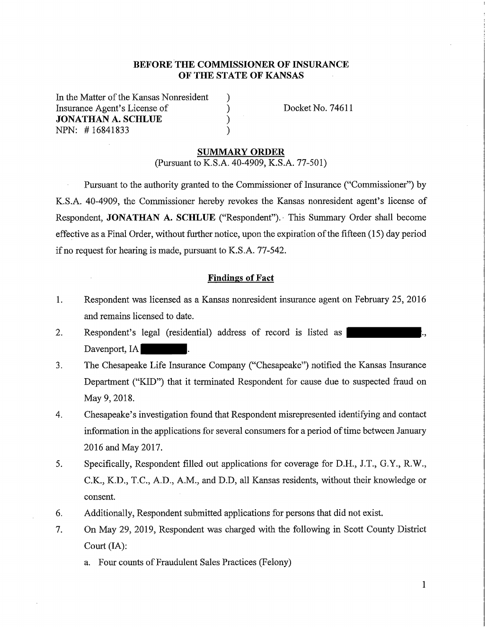#### **BEFORE THE COMMISSIONER OF INSURANCE OF THE STATE OF KANSAS**

) ) ) )

In the Matter of the Kansas Nonresident Insurance Agent's License of **JONATHAN A. SCHLUE**  NPN: # 16841833

Docket No. 74611

#### **SUMMARY ORDER**

(Pursuant to K.S.A. 40-4909, K.S.A. 77-501)

Pursuant to the authority granted to the Commissioner of Insurance ("Commissioner") by K.S.A. 40-4909, the Commissioner hereby revokes the Kansas nonresident agent's license of Respondent, **JONATHAN A. SCHLUE** ("Respondent").· This Summary Order shall become effective as a Final Order, without further notice, upon the expiration of the fifteen (15) day period if no request for hearing is made, pursuant to K.S.A. 77-542.

#### **Findings of Fact**

- 1. Respondent was licensed as a Kansas nonresident insurance agent on February 25, 2016 and remains licensed to date.
- 2. Respondent's legal (residential) address of record is listed as Davenport, IA
- 3. The Chesapeake Life Insurance Company ("Chesapeake") notified the Kansas Insurance Department ("KID") that it terminated Respondent for cause due to suspected fraud on May 9, 2018.
- 4. Chesapeake's investigation found that Respondent misrepresented identifying and contact information in the applications for several consumers for a period of time between January 2016 and May 2017.
- 5. Specifically, Respondent filled out applications for coverage for D.H., J.T., G.Y., R.W., C.K., K.D., T.C., A.D., A.M., and D.D, all Kansas residents, without their knowledge or consent.
- 6. Additionally, Respondent submitted applications for persons that did not exist.
- 7. On May 29, 2019, Respondent was charged with the following in Scott County District Court (IA):
	- a. Four counts of Fraudulent Sales Practices (Felony)

1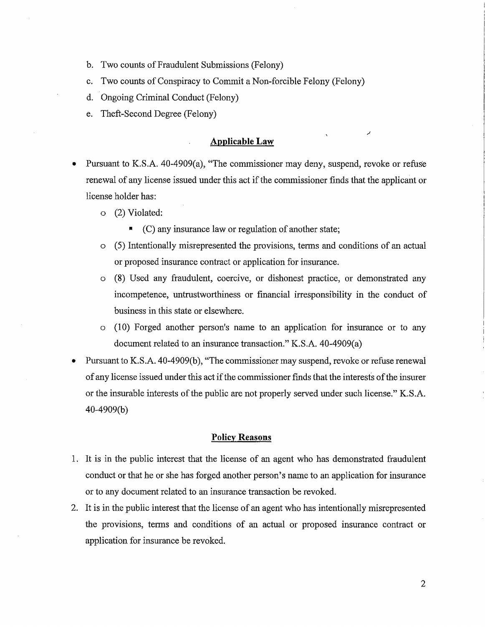- b. Two counts of Fraudulent Submissions (Felony)
- c. Two counts of Conspiracy to Commit a Non-forcible Felony (Felony)
- d. Ongoing Criminal Conduct (Felony)
- e. Theft-Second Degree (Felony)

#### **Applicable Law**

• Pursuant to K.S.A. 40-4909(a), "The commissioner may deny, suspend, revoke or refuse renewal of any license issued under this act if the commissioner finds that the applicant or license holder has:

 $\overline{\lambda}$ 

- o (2) Violated:
	- (C) any insurance law or regulation of another state;
- o (5) Intentionally misrepresented the provisions, terms and conditions of an actual or proposed insurance contract or application for insurance.
- o (8) Used any fraudulent, coercive, or dishonest practice, or demonstrated any incompetence, untrustworthiness or financial irresponsibility in the conduct of business in this state or elsewhere.
- o (10) Forged another person's name to an application for insurance or to any document related to an insurance transaction." K.S.A. 40-4909(a)
- Pursuant to K.S.A. 40-4909(b), "The commissioner may suspend, revoke or refuse renewal of any license issued under this act if the commissioner finds that the interests of the insurer or the insurable interests of the public are not properly served under such license." K.S.A. 40-4909(b)

#### **Policy Reasons**

- 1. It is in the public interest that the license of an agent who has demonstrated fraudulent conduct or that he or she has forged another person's name to an application for insurance or to any document related to an insurance transaction be revoked.
- 2. It is in the public interest that the license of an agent who has intentionally misrepresented the provisions, terms and conditions of an actual or proposed insurance contract or application for insurance be revoked.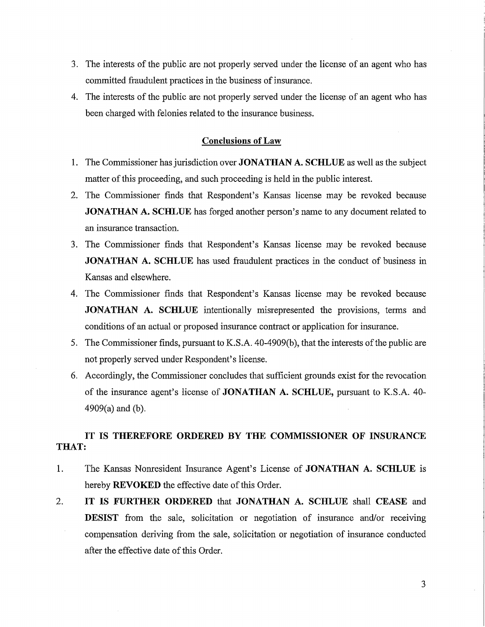- 3. The interests of the public are not properly served under the license of an agent who has committed fraudulent practices in the business of insurance.
- 4. The interests of the public are not properly served under the license of an agent who has been charged with felonies related to the insurance business.

#### **Conclusions of Law**

- 1. The Commissioner has jurisdiction over **JONATHAN A. SCHLUE** as well as the subject matter of this proceeding, and such proceeding is held in the public interest.
- 2. The Commissioner finds that Respondent's Kansas license may be revoked because **JONATHAN A. SCHLUE** has forged another person's name to any document related to an insurance transaction.
- 3. The Commissioner finds that Respondent's Kansas license may be revoked because **JONATHAN A. SCHLUE** has used fraudulent practices in the conduct of business in Kansas and elsewhere.
- 4. The Commissioner finds that Respondent's Kansas license may be revoked because **JONATHAN A. SCHLUE** intentionally misrepresented the provisions, terms and conditions of an actual or proposed insurance contract or application for insurance.
- 5. The Commissioner finds, pursuant to K.S.A. 40-4909(b), that the interests of the public are not properly served under Respondent's license.
- 6. Accordingly, the Commissioner concludes that sufficient grounds exist for the revocation of the insurance agent's license of **JONATHAN A. SCHLUE,** pursuant to K.S.A. 40- 4909(a) and (b).

## **IT IS THEREFORE ORDERED BY THE COMMISSIONER OF INSURANCE THAT:**

- 1. The Kansas Nonresident Insurance Agent's License of **JONATHAN A. SCHLUE** is hereby **REVOKED** the effective date of this Order.
- 2. **IT IS FURTHER ORDERED** that **JONATHAN A. SCHLUE** shall **CEASE** and **DESIST** from the sale, solicitation or negotiation of insurance and/or receiving compensation deriving from the sale, solicitation or negotiation of insurance conducted after the effective date of this Order.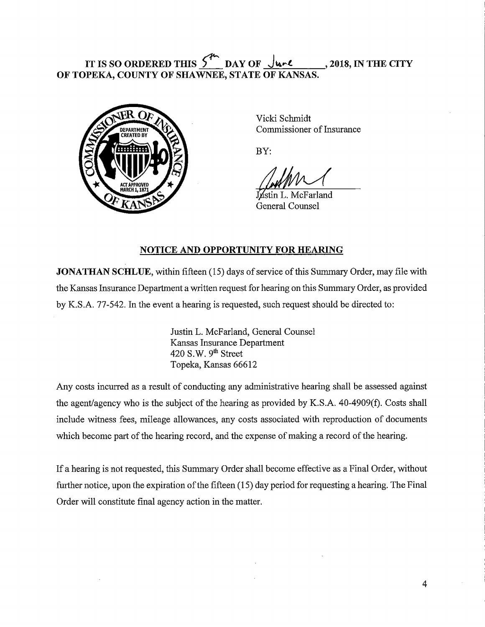# IT IS SO ORDERED THIS  $\frac{\sqrt{2}}{2}$  DAY OF  $\frac{1}{2}$  Wellet  $\frac{1}{2}$ , 2018, IN THE CITY **OF TOPEKA, COUNTY OF SHAWNEE, STATE OF KANSAS.**



Vicki Schmidt Commissioner of Insurance

BY:

BY:<br>Justin L. McFarland<br>General Counsel

General Counsel

### **NOTICE AND OPPORTUNITY FOR HEARING**

**JONATHAN SCHLUE,** within fifteen (15) days of service of this Summary Order, may file with the Kansas Insurance Department a written request for hearing on this Summary Order, as provided by K.S.A. 77-542. In the event a hearing is requested, such request should be directed to:

> Justin L. McFarland, General Counsel Kansas Insurance Department 420 S.W.  $9<sup>th</sup>$  Street Topeka, Kansas 66612

Any costs incurred as a result of conducting any administrative hearing shall be assessed against the agent/agency who is the subject of the hearing as provided by K.S.A. 40-4909(£). Costs shall include witness fees, mileage allowances, any costs associated with reproduction of documents which become part of the hearing record, and the expense of making a record of the hearing.

If a hearing is not requested, this Summary Order shall become effective as a Final Order, without further notice, upon the expiration of the fifteen (15) day period for requesting a hearing. The Final Order will constitute final agency action in the matter.